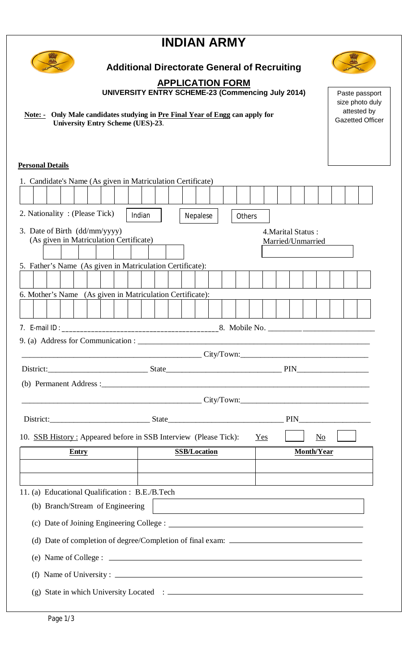# **INDIAN ARMY**



# **Additional Directorate General of Recruiting**

## **APPLICATION FORM**

**UNIVERSITY ENTRY SCHEME-23 (Commencing July 2014)**

 **Note: - Only Male candidates studying in Pre Final Year of Engg can apply for University Entry Scheme (UES)-23**.

### **Personal Details**

|                                                                          |                                                                                   | 1. Candidate's Name (As given in Matriculation Certificate)      |  |       |  |  |  |        |  |  |                                         |                     |          |  |        |  |                                                                                                                      |  |  |            |    |  |  |
|--------------------------------------------------------------------------|-----------------------------------------------------------------------------------|------------------------------------------------------------------|--|-------|--|--|--|--------|--|--|-----------------------------------------|---------------------|----------|--|--------|--|----------------------------------------------------------------------------------------------------------------------|--|--|------------|----|--|--|
|                                                                          |                                                                                   |                                                                  |  |       |  |  |  |        |  |  |                                         |                     |          |  |        |  |                                                                                                                      |  |  |            |    |  |  |
|                                                                          |                                                                                   | 2. Nationality: (Please Tick)                                    |  |       |  |  |  | Indian |  |  |                                         |                     | Nepalese |  | Others |  |                                                                                                                      |  |  |            |    |  |  |
| 3. Date of Birth (dd/mm/yyyy)<br>(As given in Matriculation Certificate) |                                                                                   |                                                                  |  |       |  |  |  |        |  |  | 4. Marital Status:<br>Married/Unmarried |                     |          |  |        |  |                                                                                                                      |  |  |            |    |  |  |
|                                                                          | 5. Father's Name (As given in Matriculation Certificate):                         |                                                                  |  |       |  |  |  |        |  |  |                                         |                     |          |  |        |  |                                                                                                                      |  |  |            |    |  |  |
|                                                                          |                                                                                   |                                                                  |  |       |  |  |  |        |  |  |                                         |                     |          |  |        |  |                                                                                                                      |  |  |            |    |  |  |
|                                                                          | 6. Mother's Name (As given in Matriculation Certificate):                         |                                                                  |  |       |  |  |  |        |  |  |                                         |                     |          |  |        |  |                                                                                                                      |  |  |            |    |  |  |
|                                                                          |                                                                                   |                                                                  |  |       |  |  |  |        |  |  |                                         |                     |          |  |        |  |                                                                                                                      |  |  |            |    |  |  |
|                                                                          |                                                                                   |                                                                  |  |       |  |  |  |        |  |  |                                         |                     |          |  |        |  |                                                                                                                      |  |  |            |    |  |  |
|                                                                          |                                                                                   |                                                                  |  |       |  |  |  |        |  |  |                                         |                     |          |  |        |  |                                                                                                                      |  |  |            |    |  |  |
|                                                                          |                                                                                   |                                                                  |  |       |  |  |  |        |  |  |                                         |                     |          |  |        |  | City/Down:                                                                                                           |  |  |            |    |  |  |
|                                                                          |                                                                                   |                                                                  |  |       |  |  |  |        |  |  |                                         |                     |          |  |        |  |                                                                                                                      |  |  |            |    |  |  |
|                                                                          |                                                                                   |                                                                  |  |       |  |  |  |        |  |  |                                         |                     |          |  |        |  |                                                                                                                      |  |  |            |    |  |  |
|                                                                          |                                                                                   |                                                                  |  |       |  |  |  |        |  |  |                                         |                     |          |  |        |  |                                                                                                                      |  |  |            |    |  |  |
|                                                                          |                                                                                   |                                                                  |  |       |  |  |  |        |  |  |                                         |                     |          |  |        |  |                                                                                                                      |  |  |            |    |  |  |
|                                                                          |                                                                                   | 10. SSB History: Appeared before in SSB Interview (Please Tick): |  |       |  |  |  |        |  |  |                                         |                     |          |  |        |  | Yes                                                                                                                  |  |  |            | No |  |  |
|                                                                          |                                                                                   |                                                                  |  | Entry |  |  |  |        |  |  |                                         | <b>SSB/Location</b> |          |  |        |  |                                                                                                                      |  |  | Month/Year |    |  |  |
|                                                                          |                                                                                   |                                                                  |  |       |  |  |  |        |  |  |                                         |                     |          |  |        |  |                                                                                                                      |  |  |            |    |  |  |
|                                                                          |                                                                                   |                                                                  |  |       |  |  |  |        |  |  |                                         |                     |          |  |        |  |                                                                                                                      |  |  |            |    |  |  |
|                                                                          |                                                                                   | 11. (a) Educational Qualification : B.E./B.Tech                  |  |       |  |  |  |        |  |  |                                         |                     |          |  |        |  | <u> 1989 - Johann Stein, marwolaethau a bhann an t-Amhair an t-Amhair an t-Amhair an t-Amhair an t-Amhair an t-A</u> |  |  |            |    |  |  |
|                                                                          | (b) Branch/Stream of Engineering                                                  |                                                                  |  |       |  |  |  |        |  |  |                                         |                     |          |  |        |  |                                                                                                                      |  |  |            |    |  |  |
|                                                                          |                                                                                   |                                                                  |  |       |  |  |  |        |  |  |                                         |                     |          |  |        |  |                                                                                                                      |  |  |            |    |  |  |
|                                                                          | (d) Date of completion of degree/Completion of final exam: ______________________ |                                                                  |  |       |  |  |  |        |  |  |                                         |                     |          |  |        |  |                                                                                                                      |  |  |            |    |  |  |
|                                                                          |                                                                                   |                                                                  |  |       |  |  |  |        |  |  |                                         |                     |          |  |        |  |                                                                                                                      |  |  |            |    |  |  |
|                                                                          | (f) Name of University: $\qquad \qquad$                                           |                                                                  |  |       |  |  |  |        |  |  |                                         |                     |          |  |        |  |                                                                                                                      |  |  |            |    |  |  |
|                                                                          |                                                                                   |                                                                  |  |       |  |  |  |        |  |  |                                         |                     |          |  |        |  |                                                                                                                      |  |  |            |    |  |  |
|                                                                          |                                                                                   |                                                                  |  |       |  |  |  |        |  |  |                                         |                     |          |  |        |  |                                                                                                                      |  |  |            |    |  |  |

Paste passport size photo duly attested by Gazetted Officer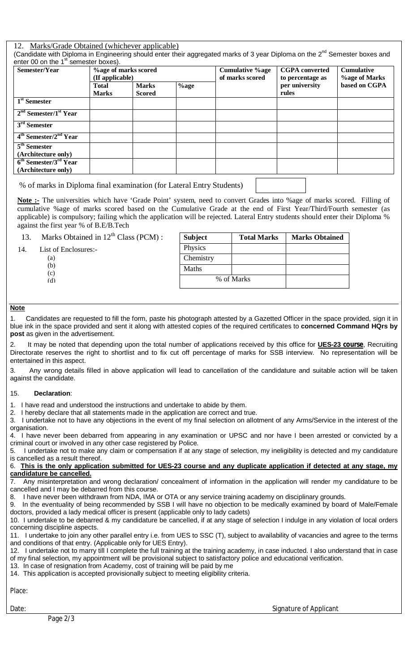#### 12. Marks/Grade Obtained (whichever applicable)

(Candidate with Diploma in Engineering should enter their aggregated marks of 3 year Diploma on the 2<sup>nd</sup> Semester boxes and enter 00 on the  $1<sup>st</sup>$  semester boxes).

| Semester/Year                                              | (If applicable)              | <b>%age of marks scored</b>   |         | <b>Cumulative %age</b><br>of marks scored | <b>CGPA</b> converted<br>to percentage as | <b>Cumulative</b><br><b>%age of Marks</b> |  |  |
|------------------------------------------------------------|------------------------------|-------------------------------|---------|-------------------------------------------|-------------------------------------------|-------------------------------------------|--|--|
|                                                            | <b>Total</b><br><b>Marks</b> | <b>Marks</b><br><b>Scored</b> | $%$ age |                                           | per university<br>rules                   | based on CGPA                             |  |  |
| $1st$ Semester                                             |                              |                               |         |                                           |                                           |                                           |  |  |
| $2nd$ Semester/1 <sup>st</sup> Year                        |                              |                               |         |                                           |                                           |                                           |  |  |
| $3rd$ Semester                                             |                              |                               |         |                                           |                                           |                                           |  |  |
| $4th$ Semester/2 <sup>nd</sup> Year                        |                              |                               |         |                                           |                                           |                                           |  |  |
| $5th$ Semester<br>(Architecture only)                      |                              |                               |         |                                           |                                           |                                           |  |  |
| $6th$ Semester/3 <sup>rd</sup> Year<br>(Architecture only) |                              |                               |         |                                           |                                           |                                           |  |  |

% of marks in Diploma final examination (for Lateral Entry Students)

**Note :-** The universities which have 'Grade Point' system, need to convert Grades into %age of marks scored. Filling of cumulative %age of marks scored based on the Cumulative Grade at the end of First Year/Third/Fourth semester (as applicable) is compulsory; failing which the application will be rejected. Lateral Entry students should enter their Diploma % against the first year % of B.E/B.Tech

| 13. | Marks Obtained in $12^{th}$ Class (PCM): | <b>Subject</b> | <b>Total Marks</b> | <b>Marks Obtained</b> |
|-----|------------------------------------------|----------------|--------------------|-----------------------|
| 14. | List of Enclosures:-                     | Physics        |                    |                       |
|     | (a)                                      | Chemistry      |                    |                       |
|     | (b)<br>(c)                               | Maths          |                    |                       |
|     | (d)                                      |                | % of Marks         |                       |

#### **Note**

1. Candidates are requested to fill the form, paste his photograph attested by a Gazetted Officer in the space provided, sign it in blue ink in the space provided and sent it along with attested copies of the required certificates to **concerned Command HQrs by post** as given in the advertisement.

2. It may be noted that depending upon the total number of applications received by this office for **UES-23 course**, Recruiting Directorate reserves the right to shortlist and to fix cut off percentage of marks for SSB interview. No representation will be entertained in this aspect.

3. Any wrong details filled in above application will lead to cancellation of the candidature and suitable action will be taken against the candidate.

#### 15. **Declaration**:

1. I have read and understood the instructions and undertake to abide by them.

2. I hereby declare that all statements made in the application are correct and true.

3. I undertake not to have any objections in the event of my final selection on allotment of any Arms/Service in the interest of the organisation.

4. I have never been debarred from appearing in any examination or UPSC and nor have I been arrested or convicted by a criminal court or involved in any other case registered by Police.

5. I undertake not to make any claim or compensation if at any stage of selection, my ineligibility is detected and my candidature is cancelled as a result thereof.

#### 6. **This is the only application submitted for UES-23 course and any duplicate application if detected at any stage, my candidature be cancelled.**

7. Any misinterpretation and wrong declaration/ concealment of information in the application will render my candidature to be cancelled and I may be debarred from this course.

8. I have never been withdrawn from NDA, IMA or OTA or any service training academy on disciplinary grounds.

9. In the eventuality of being recommended by SSB I will have no objection to be medically examined by board of Male/Female doctors, provided a lady medical officer is present (applicable only to lady cadets)

10. I undertake to be debarred & my candidature be cancelled, if at any stage of selection I indulge in any violation of local orders concerning discipline aspects.

11. I undertake to join any other parallel entry i.e. from UES to SSC (T), subject to availability of vacancies and agree to the terms and conditions of that entry. (Applicable only for UES Entry).

12. I undertake not to marry till I complete the full training at the training academy, in case inducted. I also understand that in case of my final selection, my appointment will be provisional subject to satisfactory police and educational verification.

13. In case of resignation from Academy, cost of training will be paid by me

14. This application is accepted provisionally subject to meeting eligibility criteria.

Place:

Date: Signature of Applicant